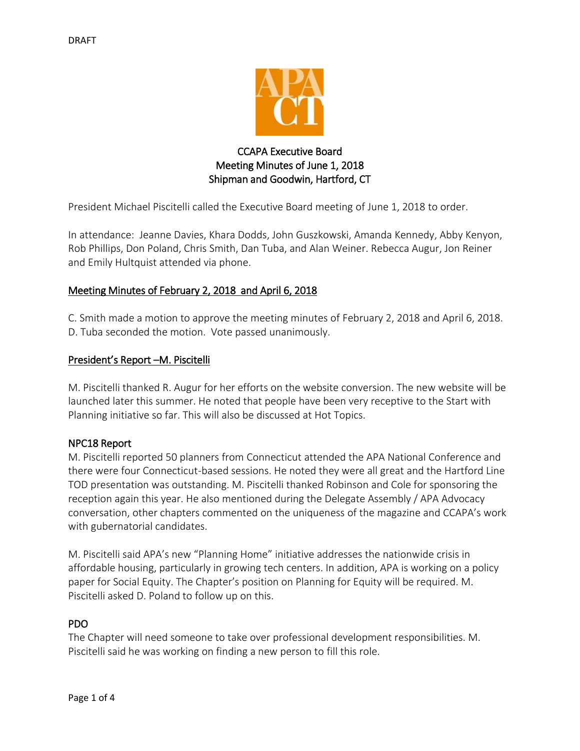

# CCAPA Executive Board Meeting Minutes of June 1, 2018 Shipman and Goodwin, Hartford, CT

President Michael Piscitelli called the Executive Board meeting of June 1, 2018 to order.

In attendance: Jeanne Davies, Khara Dodds, John Guszkowski, Amanda Kennedy, Abby Kenyon, Rob Phillips, Don Poland, Chris Smith, Dan Tuba, and Alan Weiner. Rebecca Augur, Jon Reiner and Emily Hultquist attended via phone.

# Meeting Minutes of February 2, 2018 and April 6, 2018

C. Smith made a motion to approve the meeting minutes of February 2, 2018 and April 6, 2018. D. Tuba seconded the motion. Vote passed unanimously.

# President's Report –M. Piscitelli

M. Piscitelli thanked R. Augur for her efforts on the website conversion. The new website will be launched later this summer. He noted that people have been very receptive to the Start with Planning initiative so far. This will also be discussed at Hot Topics.

# NPC18 Report

M. Piscitelli reported 50 planners from Connecticut attended the APA National Conference and there were four Connecticut-based sessions. He noted they were all great and the Hartford Line TOD presentation was outstanding. M. Piscitelli thanked Robinson and Cole for sponsoring the reception again this year. He also mentioned during the Delegate Assembly / APA Advocacy conversation, other chapters commented on the uniqueness of the magazine and CCAPA's work with gubernatorial candidates.

M. Piscitelli said APA's new "Planning Home" initiative addresses the nationwide crisis in affordable housing, particularly in growing tech centers. In addition, APA is working on a policy paper for Social Equity. The Chapter's position on Planning for Equity will be required. M. Piscitelli asked D. Poland to follow up on this.

# PDO

The Chapter will need someone to take over professional development responsibilities. M. Piscitelli said he was working on finding a new person to fill this role.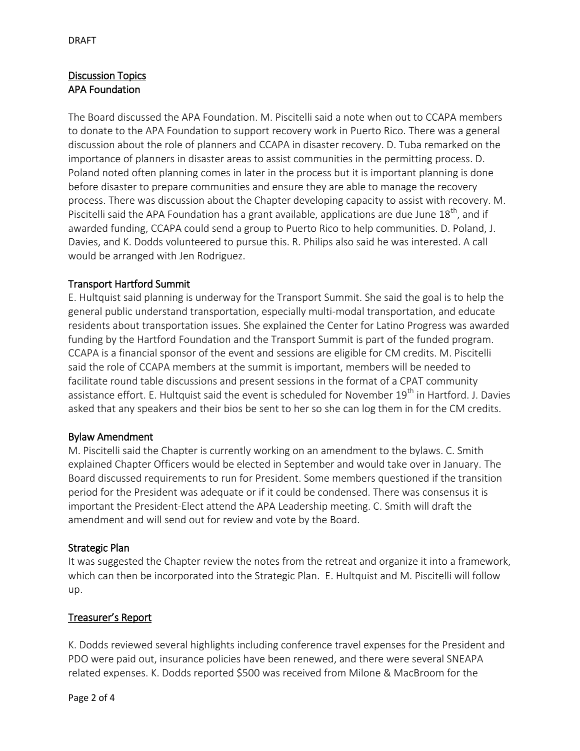# Discussion Topics APA Foundation

The Board discussed the APA Foundation. M. Piscitelli said a note when out to CCAPA members to donate to the APA Foundation to support recovery work in Puerto Rico. There was a general discussion about the role of planners and CCAPA in disaster recovery. D. Tuba remarked on the importance of planners in disaster areas to assist communities in the permitting process. D. Poland noted often planning comes in later in the process but it is important planning is done before disaster to prepare communities and ensure they are able to manage the recovery process. There was discussion about the Chapter developing capacity to assist with recovery. M. Piscitelli said the APA Foundation has a grant available, applications are due June  $18<sup>th</sup>$ , and if awarded funding, CCAPA could send a group to Puerto Rico to help communities. D. Poland, J. Davies, and K. Dodds volunteered to pursue this. R. Philips also said he was interested. A call would be arranged with Jen Rodriguez.

# Transport Hartford Summit

E. Hultquist said planning is underway for the Transport Summit. She said the goal is to help the general public understand transportation, especially multi-modal transportation, and educate residents about transportation issues. She explained the Center for Latino Progress was awarded funding by the Hartford Foundation and the Transport Summit is part of the funded program. CCAPA is a financial sponsor of the event and sessions are eligible for CM credits. M. Piscitelli said the role of CCAPA members at the summit is important, members will be needed to facilitate round table discussions and present sessions in the format of a CPAT community assistance effort. E. Hultquist said the event is scheduled for November 19<sup>th</sup> in Hartford. J. Davies asked that any speakers and their bios be sent to her so she can log them in for the CM credits.

# Bylaw Amendment

M. Piscitelli said the Chapter is currently working on an amendment to the bylaws. C. Smith explained Chapter Officers would be elected in September and would take over in January. The Board discussed requirements to run for President. Some members questioned if the transition period for the President was adequate or if it could be condensed. There was consensus it is important the President-Elect attend the APA Leadership meeting. C. Smith will draft the amendment and will send out for review and vote by the Board.

# Strategic Plan

It was suggested the Chapter review the notes from the retreat and organize it into a framework, which can then be incorporated into the Strategic Plan. E. Hultquist and M. Piscitelli will follow up.

# Treasurer's Report

K. Dodds reviewed several highlights including conference travel expenses for the President and PDO were paid out, insurance policies have been renewed, and there were several SNEAPA related expenses. K. Dodds reported \$500 was received from Milone & MacBroom for the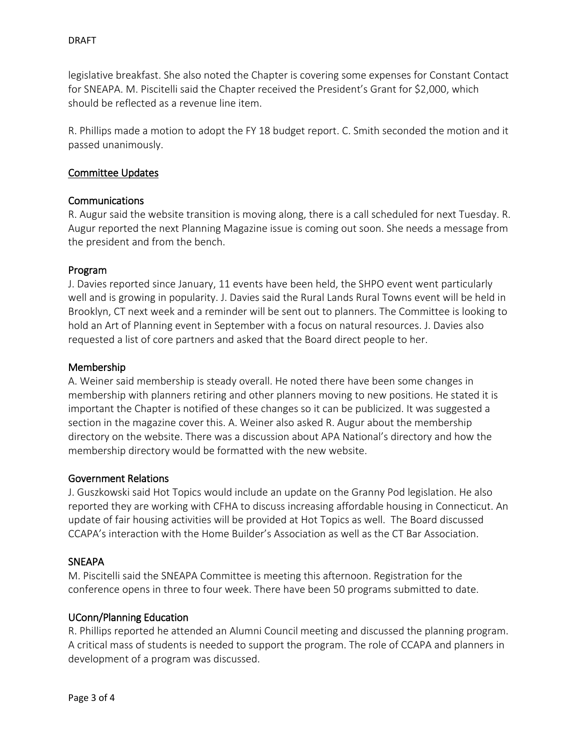legislative breakfast. She also noted the Chapter is covering some expenses for Constant Contact for SNEAPA. M. Piscitelli said the Chapter received the President's Grant for \$2,000, which should be reflected as a revenue line item.

R. Phillips made a motion to adopt the FY 18 budget report. C. Smith seconded the motion and it passed unanimously.

## Committee Updates

## Communications

R. Augur said the website transition is moving along, there is a call scheduled for next Tuesday. R. Augur reported the next Planning Magazine issue is coming out soon. She needs a message from the president and from the bench.

### Program

J. Davies reported since January, 11 events have been held, the SHPO event went particularly well and is growing in popularity. J. Davies said the Rural Lands Rural Towns event will be held in Brooklyn, CT next week and a reminder will be sent out to planners. The Committee is looking to hold an Art of Planning event in September with a focus on natural resources. J. Davies also requested a list of core partners and asked that the Board direct people to her.

## Membership

A. Weiner said membership is steady overall. He noted there have been some changes in membership with planners retiring and other planners moving to new positions. He stated it is important the Chapter is notified of these changes so it can be publicized. It was suggested a section in the magazine cover this. A. Weiner also asked R. Augur about the membership directory on the website. There was a discussion about APA National's directory and how the membership directory would be formatted with the new website.

### Government Relations

J. Guszkowski said Hot Topics would include an update on the Granny Pod legislation. He also reported they are working with CFHA to discuss increasing affordable housing in Connecticut. An update of fair housing activities will be provided at Hot Topics as well. The Board discussed CCAPA's interaction with the Home Builder's Association as well as the CT Bar Association.

### SNEAPA

M. Piscitelli said the SNEAPA Committee is meeting this afternoon. Registration for the conference opens in three to four week. There have been 50 programs submitted to date.

# UConn/Planning Education

R. Phillips reported he attended an Alumni Council meeting and discussed the planning program. A critical mass of students is needed to support the program. The role of CCAPA and planners in development of a program was discussed.